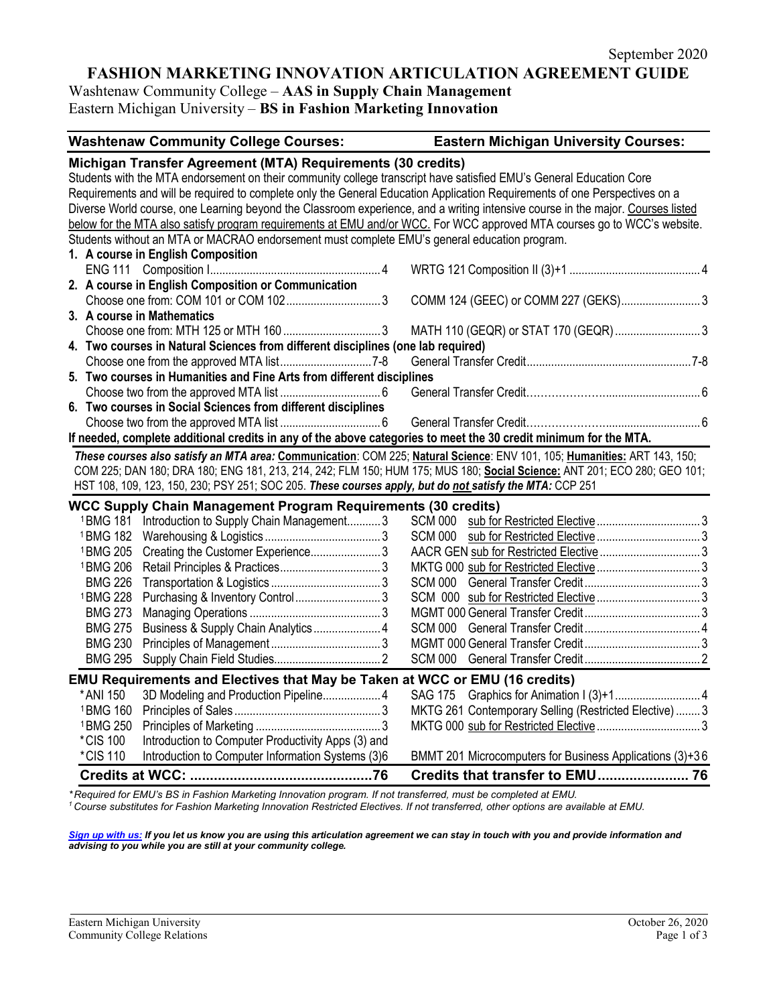# **FASHION MARKETING INNOVATION ARTICULATION AGREEMENT GUIDE**

Washtenaw Community College – **AAS in Supply Chain Management**  Eastern Michigan University – **BS in Fashion Marketing Innovation**

| <b>Washtenaw Community College Courses:</b>                                                                                                                                                                                                                                                                      | <b>Eastern Michigan University Courses:</b>              |
|------------------------------------------------------------------------------------------------------------------------------------------------------------------------------------------------------------------------------------------------------------------------------------------------------------------|----------------------------------------------------------|
| Michigan Transfer Agreement (MTA) Requirements (30 credits)<br>Students with the MTA endorsement on their community college transcript have satisfied EMU's General Education Core<br>Requirements and will be required to complete only the General Education Application Requirements of one Perspectives on a |                                                          |
| Diverse World course, one Learning beyond the Classroom experience, and a writing intensive course in the major. Courses listed                                                                                                                                                                                  |                                                          |
| below for the MTA also satisfy program requirements at EMU and/or WCC. For WCC approved MTA courses go to WCC's website.                                                                                                                                                                                         |                                                          |
| Students without an MTA or MACRAO endorsement must complete EMU's general education program.                                                                                                                                                                                                                     |                                                          |
| 1. A course in English Composition                                                                                                                                                                                                                                                                               |                                                          |
|                                                                                                                                                                                                                                                                                                                  |                                                          |
| 2. A course in English Composition or Communication                                                                                                                                                                                                                                                              | COMM 124 (GEEC) or COMM 227 (GEKS)3                      |
| 3. A course in Mathematics                                                                                                                                                                                                                                                                                       |                                                          |
|                                                                                                                                                                                                                                                                                                                  | MATH 110 (GEQR) or STAT 170 (GEQR)  3                    |
| 4. Two courses in Natural Sciences from different disciplines (one lab required)                                                                                                                                                                                                                                 |                                                          |
|                                                                                                                                                                                                                                                                                                                  |                                                          |
| 5. Two courses in Humanities and Fine Arts from different disciplines                                                                                                                                                                                                                                            |                                                          |
| 6. Two courses in Social Sciences from different disciplines                                                                                                                                                                                                                                                     |                                                          |
|                                                                                                                                                                                                                                                                                                                  |                                                          |
| If needed, complete additional credits in any of the above categories to meet the 30 credit minimum for the MTA.                                                                                                                                                                                                 |                                                          |
| These courses also satisfy an MTA area: Communication: COM 225; Natural Science: ENV 101, 105; Humanities: ART 143, 150;                                                                                                                                                                                         |                                                          |
| COM 225; DAN 180; DRA 180; ENG 181, 213, 214, 242; FLM 150; HUM 175; MUS 180; Social Science: ANT 201; ECO 280; GEO 101;                                                                                                                                                                                         |                                                          |
| HST 108, 109, 123, 150, 230; PSY 251; SOC 205. These courses apply, but do not satisfy the MTA: CCP 251                                                                                                                                                                                                          |                                                          |
| <b>WCC Supply Chain Management Program Requirements (30 credits)</b>                                                                                                                                                                                                                                             |                                                          |
| <sup>1</sup> BMG 181 Introduction to Supply Chain Management3                                                                                                                                                                                                                                                    |                                                          |
|                                                                                                                                                                                                                                                                                                                  |                                                          |
| <sup>1</sup> BMG 205<br>Creating the Customer Experience3                                                                                                                                                                                                                                                        |                                                          |
| <sup>1</sup> BMG 206                                                                                                                                                                                                                                                                                             |                                                          |
| <b>BMG 226</b>                                                                                                                                                                                                                                                                                                   |                                                          |
| <sup>1</sup> BMG 228                                                                                                                                                                                                                                                                                             |                                                          |
| <b>BMG 273</b>                                                                                                                                                                                                                                                                                                   |                                                          |
| Business & Supply Chain Analytics 4<br><b>BMG 275</b>                                                                                                                                                                                                                                                            |                                                          |
| <b>BMG 230</b>                                                                                                                                                                                                                                                                                                   |                                                          |
| <b>BMG 295</b>                                                                                                                                                                                                                                                                                                   |                                                          |
| <b>EMU Requirements and Electives that May be Taken at WCC or EMU (16 credits)</b>                                                                                                                                                                                                                               |                                                          |
| 3D Modeling and Production Pipeline 4<br>* ANI 150                                                                                                                                                                                                                                                               |                                                          |
| <sup>1</sup> BMG 160                                                                                                                                                                                                                                                                                             | MKTG 261 Contemporary Selling (Restricted Elective)  3   |
| <sup>1</sup> BMG 250                                                                                                                                                                                                                                                                                             |                                                          |
| Introduction to Computer Productivity Apps (3) and<br>*CIS 100                                                                                                                                                                                                                                                   |                                                          |
| *CIS 110<br>Introduction to Computer Information Systems (3)6                                                                                                                                                                                                                                                    | BMMT 201 Microcomputers for Business Applications (3)+36 |
|                                                                                                                                                                                                                                                                                                                  |                                                          |

\*Required for EMU's BS in Fashion Marketing Innovation program. If not transferred, must be completed at EMU.<br><sup>1</sup> Course substitutes for Fashion Marketing Innovation Restricted Electives. If not transferred, other options

*[Sign up with us:](https://www.emich.edu/ccr/articulation-agreements/signup.php) If you let us know you are using this articulation agreement we can stay in touch with you and provide information and advising to you while you are still at your community college.*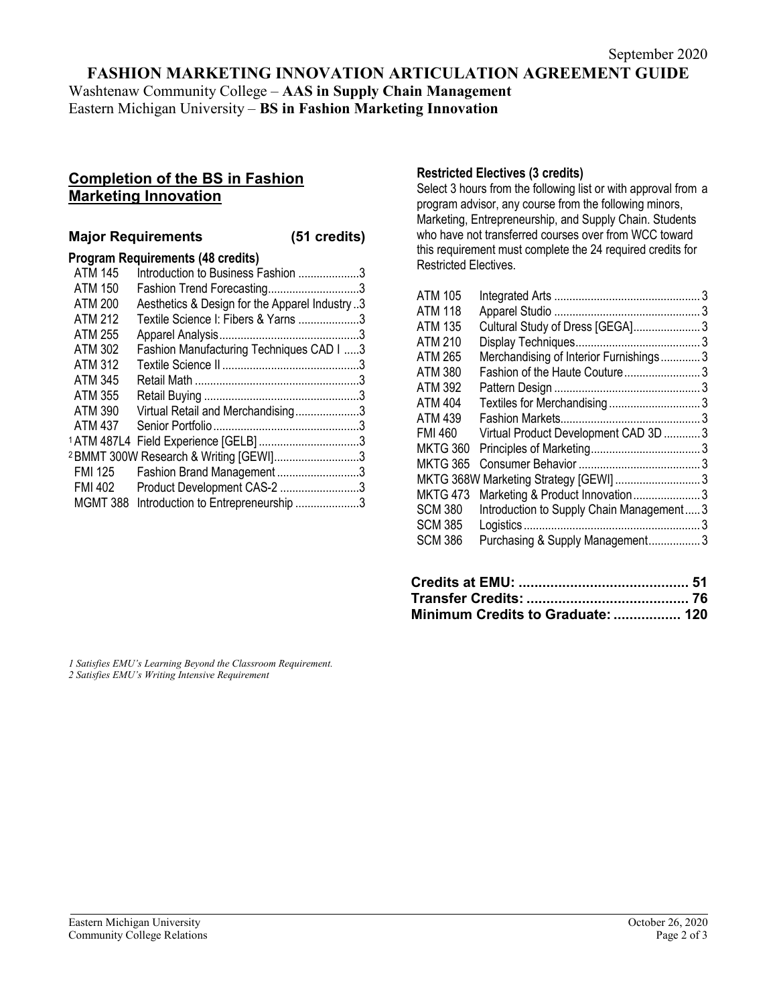# **FASHION MARKETING INNOVATION ARTICULATION AGREEMENT GUIDE**

Washtenaw Community College – **AAS in Supply Chain Management**  Eastern Michigan University – **BS in Fashion Marketing Innovation**

# **Completion of the BS in Fashion Marketing Innovation**

### **Major Requirements (51 credits)**

## **Program Requirements (48 credits)**

| <b>ATM 145</b> | Introduction to Business Fashion 3                |  |
|----------------|---------------------------------------------------|--|
| <b>ATM 150</b> | Fashion Trend Forecasting3                        |  |
| <b>ATM 200</b> | Aesthetics & Design for the Apparel Industry3     |  |
| ATM 212        | Textile Science I: Fibers & Yarns 3               |  |
| <b>ATM 255</b> |                                                   |  |
| ATM 302        | Fashion Manufacturing Techniques CAD I 3          |  |
| <b>ATM 312</b> |                                                   |  |
| ATM 345        |                                                   |  |
| ATM 355        |                                                   |  |
| ATM 390        | Virtual Retail and Merchandising3                 |  |
| ATM 437        |                                                   |  |
| 1 ATM 487L4    |                                                   |  |
|                | <sup>2</sup> BMMT 300W Research & Writing [GEWI]3 |  |
| FMI 125        | Fashion Brand Management3                         |  |
| FMI 402        | Product Development CAS-2 3                       |  |
| MGMT 388       | Introduction to Entrepreneurship 3                |  |
|                |                                                   |  |

## **Restricted Electives (3 credits)**

Select 3 hours from the following list or with approval from a program advisor, any course from the following minors, Marketing, Entrepreneurship, and Supply Chain. Students who have not transferred courses over from WCC toward this requirement must complete the 24 required credits for Restricted Electives.

| <b>ATM 105</b>  |                                           |  |
|-----------------|-------------------------------------------|--|
| ATM 118         |                                           |  |
| <b>ATM 135</b>  | Cultural Study of Dress [GEGA] 3          |  |
| <b>ATM 210</b>  |                                           |  |
| <b>ATM 265</b>  | Merchandising of Interior Furnishings3    |  |
| <b>ATM 380</b>  | Fashion of the Haute Couture 3            |  |
| <b>ATM 392</b>  |                                           |  |
| <b>ATM 404</b>  | Textiles for Merchandising 3              |  |
| <b>ATM 439</b>  |                                           |  |
| <b>FMI 460</b>  | Virtual Product Development CAD 3D 3      |  |
| <b>MKTG 360</b> |                                           |  |
| <b>MKTG 365</b> |                                           |  |
|                 |                                           |  |
| <b>MKTG 473</b> | Marketing & Product Innovation3           |  |
| <b>SCM 380</b>  | Introduction to Supply Chain Management 3 |  |
| <b>SCM 385</b>  |                                           |  |
| <b>SCM 386</b>  | Purchasing & Supply Management3           |  |
|                 |                                           |  |

| Minimum Credits to Graduate:  120 |  |
|-----------------------------------|--|

*1 Satisfies EMU's Learning Beyond the Classroom Requirement. 2 Satisfies EMU's Writing Intensive Requirement*